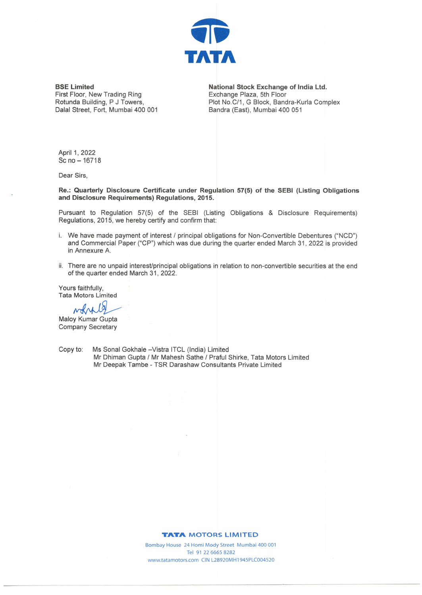

**BSE Limited**  First Floor, New Trading Ring Rotunda Building, P J Towers, Dalal Street, Fort, Mumbai 400 001 **National Stock Exchange of India Ltd.**  Exchange Plaza, 5th Floor Plot No.C/1, G Block, Bandra-Kurla Complex Bandra (East), Mumbai 400 051

April 1, 2022 Sc no-16718

Dear Sirs,

**Re.: Quarterly Disclosure Certificate under Regulation 57(5) of the SEBI (Listing Obligations and Disclosure Requirements) Regulations, 2015.** 

Pursuant to Regulation 57(5) of the SEBI (Listing Obligations & Disclosure Requirements) Regulations, 2015, we hereby certify and confirm that:

- i. We have made payment of interest / principal obligations for Non-Convertible Debentures ("NCO") and Commercial Paper ("CP") which was due during the quarter ended March 31, 2022 is provided in Annexure A.
- ii. There are no unpaid interest/principal obligations in relation to non-convertible securities at the end of the quarter ended March 31, 2022.

Yours faithfully, Tata Motors Limited s faithfully,<br>Motors Limited<br>
MAMA<br>
y Kumar Gupta

**Maloy Kumar Gupta** Company Secretary

Copy to: Ms Sonal Gokhale - Vistra ITCL (India) Limited Mr Dhiman Gupta / Mr Mahesh Sathe / Praful Shirke, Tata Motors Limited Mr Deepak Tambe - TSR Darashaw Consultants Private Limited

## **TATA MOTORS LIMITED**

Bombay House 24 Homi Mody Street Mumbai 400 001 Tel 91 22 6665 8282 www.tatamotors.com CIN L28920MH1945PLC004520